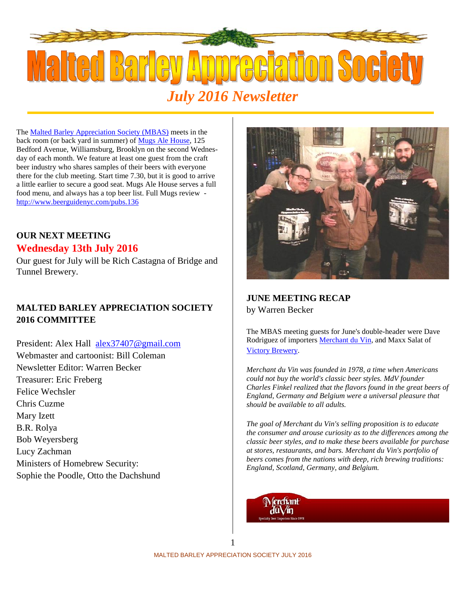

The Malted Barley Appreciation Society (MBAS) meets in the back room (or back yard in summer) of Mugs Ale House, 125 Bedford Avenue, Williamsburg, Brooklyn on the second Wednesday of each month. We feature at least one guest from the craft beer industry who shares samples of their beers with everyone there for the club meeting. Start time 7.30, but it is good to arrive a little earlier to secure a good seat. Mugs Ale House serves a full food menu, and always has a top beer list. Full Mugs review http://www.beerguidenyc.com/pubs.136

# **OUR NEXT MEETING Wednesday 13th July 2016**

Our guest for July will be Rich Castagna of Bridge and Tunnel Brewery.

# **MALTED BARLEY APPRECIATION SOCIETY 2016 COMMITTEE**

President: Alex Hall alex37407@gmail.com Webmaster and cartoonist: Bill Coleman Newsletter Editor: Warren Becker Treasurer: Eric Freberg Felice Wechsler Chris Cuzme Mary Izett B.R. Rolya Bob Weyersberg Lucy Zachman Ministers of Homebrew Security: Sophie the Poodle, Otto the Dachshund



**JUNE MEETING RECAP**

by Warren Becker

The MBAS meeting guests for June's double-header were Dave Rodriguez of importers **Merchant du Vin**, and Maxx Salat of Victory Brewery.

*Merchant du Vin was founded in 1978, a time when Americans could not buy the world's classic beer styles. MdV founder Charles Finkel realized that the flavors found in the great beers of England, Germany and Belgium were a universal pleasure that should be available to all adults.*

*The goal of Merchant du Vin's selling proposition is to educate the consumer and arouse curiosity as to the differences among the classic beer styles, and to make these beers available for purchase at stores, restaurants, and bars. Merchant du Vin's portfolio of beers comes from the nations with deep, rich brewing traditions: England, Scotland, Germany, and Belgium.*

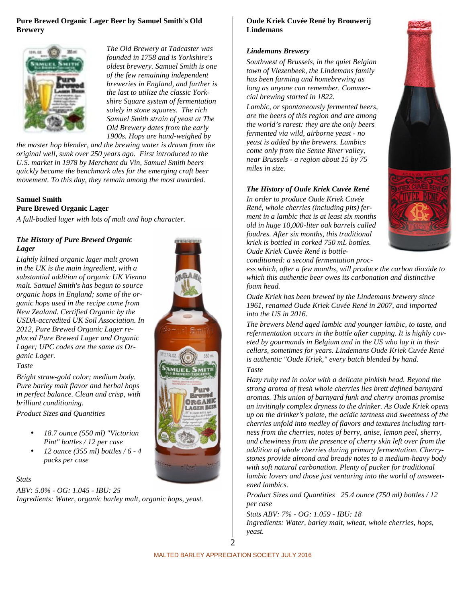# **Pure Brewed Organic Lager Beer by Samuel Smith's Old Brewery**



*The Old Brewery at Tadcaster was founded in 1758 and is Yorkshire's oldest brewery. Samuel Smith is one of the few remaining independent breweries in England, and further is the last to utilize the classic Yorkshire Square system of fermentation solely in stone squares. The rich Samuel Smith strain of yeast at The Old Brewery dates from the early 1900s. Hops are hand-weighed by*

*the master hop blender, and the brewing water is drawn from the original well, sunk over 250 years ago. First introduced to the U.S. market in 1978 by Merchant du Vin, Samuel Smith beers quickly became the benchmark ales for the emerging craft beer movement. To this day, they remain among the most awarded.*

# **Samuel Smith Pure Brewed Organic Lager**

*A full-bodied lager with lots of malt and hop character.*

# *The History of Pure Brewed Organic Lager*

*Lightly kilned organic lager malt grown in the UK is the main ingredient, with a substantial addition of organic UK Vienna malt. Samuel Smith's has begun to source organic hops in England; some of the or ganic hops used in the recipe come from New Zealand. Certified Organic by the USDA-accredited UK Soil Association. In 2012, Pure Brewed Organic Lager re placed Pure Brewed Lager and Organic Lager; UPC codes are the same as Or ganic Lager.*

*Taste*

*Bright straw-gold color; medium body. Pure barley malt flavor and herbal hops in perfect balance. Clean and crisp, with brilliant conditioning.*

*Product Sizes and Quantities*

- *18.7 ounce (550 ml) "Victorian Pint" bottles / 12 per case*
- *12 ounce (355 ml) bottles / 6 4 packs per case*

*Stats*

*ABV: 5.0% - OG: 1.045 - IBU: 25 Ingredients: Water, organic barley malt, organic hops, yeast.*

# **TALLY'S** ORGANIC **AGER BED**

#### **Oude Kriek Cuvée René by Brouwerij Lindemans**

# *Lindemans Brewery*

*Southwest of Brussels, in the quiet Belgian town of Vlezenbeek, the Lindemans family has been farming and homebrewing as long as anyone can remember. Commer cial brewing started in 1822.*

*Lambic, or spontaneously fermented beers, are the beers of this region and are among the world's rarest: they are the only beers fermented via wild, airborne yeast - no yeast is added by the brewers. Lambics come only from the Senne River valley, near Brussels - a region about 15 by 75 miles in size.*

# *The History of Oude Kriek Cuvée René*

*In order to produce Oude Kriek Cuvée René, whole cherries (including pits) fer ment in a lambic that is at least six months old in huge 10,000-liter oak barrels called foudres. After six months, this traditional kriek is bottled in corked 750 mL bottles. Oude Kriek Cuvée René is bottle-*



*conditioned: a second fermentation proc ess which, after a few months, will produce the carbon dioxide to*

*which this authentic beer owes its carbonation and distinctive foam head.*

*Oude Kriek has been brewed by the Lindemans brewery since 1961, renamed Oude Kriek Cuvée René in 2007, and imported into the US in 2016.*

*The brewers blend aged lambic and younger lambic, to taste, and refermentation occurs in the bottle after capping. It is highly coveted by gourmands in Belgium and in the US who lay it in their cellars, sometimes for years. Lindemans Oude Kriek Cuvée René is authentic "Oude Kriek," every batch blended by hand.*

# *Taste*

*Hazy ruby red in color with a delicate pinkish head. Beyond the strong aroma of fresh whole cherries lies brett defined barnyard aromas. This union of barnyard funk and cherry aromas promise an invitingly complex dryness to the drinker. As Oude Kriek opens up on the drinker's palate, the acidic tartness and sweetness of the cherries unfold into medley of flavors and textures including tartness from the cherries, notes of berry, anise, lemon peel, sherry, and chewiness from the presence of cherry skin left over from the addition of whole cherries during primary fermentation. Cherry stones provide almond and bready notes to a medium-heavy body with soft natural carbonation. Plenty of pucker for traditional lambic lovers and those just venturing into the world of unsweetened lambics.*

*Product Sizes and Quantities 25.4 ounce (750 ml) bottles / 12 per case*

*Stats ABV: 7% - OG: 1.059 - IBU: 18 Ingredients: Water, barley malt, wheat, whole cherries, hops, yeast.*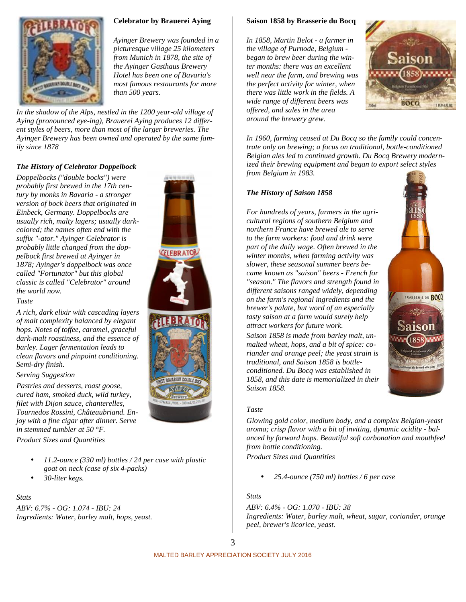

# **Celebrator by Brauerei Aying**

*Ayinger Brewery was founded in a picturesque village 25 kilometers from Munich in 1878, the site of the Ayinger Gasthaus Brewery Hotel has been one of Bavaria's most famous restaurants for more than 500 years.*

*In the shadow of the Alps, nestled in the 1200 year-old village of Aying (pronounced eye-ing), Brauerei Aying produces 12 differ ent styles of beers, more than most of the larger breweries. The Ayinger Brewery has been owned and operated by the same family since 1878*

#### *The History of Celebrator Doppelbock*

*Doppelbocks ("double bocks") were probably first brewed in the 17th century by monks in Bavaria - a stronger version of bock beers that originated in Einbeck, Germany. Doppelbocks are usually rich, malty lagers; usually dark colored; the names often end with the suffix "-ator." Ayinger Celebrator is probably little changed from the doppelbock first brewed at Ayinger in 1878; Ayinger's doppelbock was once called "Fortunator" but this global classic is called "Celebrator" around the world now.*

#### *Taste*

*A rich, dark elixir with cascading layers of malt complexity balanced by elegant hops. Notes of toffee, caramel, graceful dark-malt roastiness, and the essence of barley. Lager fermentation leads to clean flavors and pinpoint conditioning. Semi-dry finish.*

#### *Serving Suggestion*

*Pastries and desserts, roast goose, cured ham, smoked duck, wild turkey, filet with Dijon sauce, chanterelles, Tournedos Rossini, Châteaubriand. Enjoy with a fine cigar after dinner. Serve in stemmed tumbler at 50 °F.*

*Product Sizes and Quantities*

- *11.2-ounce (330 ml) bottles / 24 per case with plastic goat on neck (case of six 4-packs)*
- *30-liter kegs.*

#### *Stats*

*ABV: 6.7% - OG: 1.074 - IBU: 24 Ingredients: Water, barley malt, hops, yeast.*





#### **Saison 1858 by Brasserie du Bocq**

*In 1858, Martin Belot - a farmer in the village of Purnode, Belgium began to brew beer during the winter months: there was an excellent well near the farm, and brewing was the perfect activity for winter, when there was little work in the fields. A wide range of different beers was offered, and sales in the area around the brewery grew.*



*In 1960, farming ceased at Du Bocq so the family could concentrate only on brewing; a focus on traditional, bottle-conditioned Belgian ales led to continued growth. Du Bocq Brewery modernized their brewing equipment and began to export select styles from Belgium in 1983.*

#### *The History of Saison 1858*

*For hundreds of years, farmers in the agricultural regions of southern Belgium and northern France have brewed ale to serve to the farm workers: food and drink were part of the daily wage. Often brewed in the winter months, when farming activity was slower, these seasonal summer beers be came known as "saison" beers - French for "season." The flavors and strength found in* different saisons ranged widely, depending<br>on the farm's regional ingredients and the *on the farm's regional ingredients and the brewer's palate, but word of an especially tasty saison at a farm would surely help attract workers for future work.*

*Saison 1858 is made from barley malt, un malted wheat, hops, and a bit of spice: co riander and orange peel; the yeast strain is traditional, and Saison 1858 is bottle conditioned. Du Bocq was established in 1858, and this date is memorialized in their Saison 1858.*

#### *Taste*

*Glowing gold color, medium body, and a complex Belgian-yeast aroma; crisp flavor with a bit of inviting, dynamic acidity - balanced by forward hops. Beautiful soft carbonation and mouthfeel from bottle conditioning.*

*Product Sizes and Quantities*

*25.4-ounce (750 ml) bottles / 6 per case*

#### *Stats*

*ABV: 6.4% - OG: 1.070 - IBU: 38 Ingredients: Water, barley malt, wheat, sugar, coriander, orange peel, brewer's licorice, yeast.*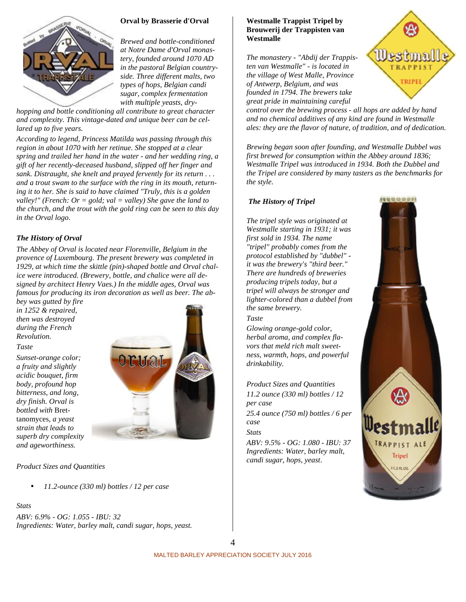

#### **Orval by Brasserie d'Orval**

*Brewed and bottle-conditioned at Notre Dame d'Orval monastery, founded around 1070 AD in the pastoral Belgian countryside. Three different malts, two types of hops, Belgian candi sugar, complex fermentation with multiple yeasts, dry-*

*hopping and bottle conditioning all contribute to great character and complexity. This vintage-dated and unique beer can be cellared up to five years.*

*According to legend, Princess Matilda was passing through this region in about 1070 with her retinue. She stopped at a clear spring and trailed her hand in the water - and her wedding ring, a gift of her recently-deceased husband, slipped off her finger and sank. Distraught, she knelt and prayed fervently for its return . . . and a trout swam to the surface with the ring in its mouth, returning it to her. She is said to have claimed "Truly, this is a golden valley!" (French: Or = gold; val = valley) She gave the land to the church, and the trout with the gold ring can be seen to this day in the Orval logo.*

#### *The History of Orval*

*The Abbey of Orval is located near Florenville, Belgium in the provence of Luxembourg. The present brewery was completed in 1929, at which time the skittle (pin)-shaped bottle and Orval chalice were introduced. (Brewery, bottle, and chalice were all de signed by architect Henry Vaes.) In the middle ages, Orval was famous for producing its iron decoration as well as beer. The ab-*

*bey was gutted by fire in 1252 & repaired, then was destroyed during the French Revolution. Taste*

*Sunset-orange color; a fruity and slightly acidic bouquet, firm body, profound hop bitterness, and long, dry finish. Orval is bottled with* Brettanomyces*, a yeast strain that leads to superb dry complexity and ageworthiness.*



#### *Product Sizes and Quantities*

*11.2-ounce (330 ml) bottles / 12 per case*

#### *Stats*

*ABV: 6.9% - OG: 1.055 - IBU: 32 Ingredients: Water, barley malt, candi sugar, hops, yeast.*

## **Westmalle Trappist Tripel by Brouwerij der Trappisten van Westmalle**

*The monastery - "Abdij der Trappisten van Westmalle" - is located in the village of West Malle, Province of Antwerp, Belgium, and was founded in 1794. The brewers take great pride in maintaining careful*



*control over the brewing process - all hops are added by hand and no chemical additives of any kind are found in Westmalle ales: they are the flavor of nature, of tradition, and of dedication.*

*Brewing began soon after founding, and Westmalle Dubbel was first brewed for consumption within the Abbey around 1836; Westmalle Tripel was introduced in 1934. Both the Dubbel and the Tripel are considered by many tasters as the benchmarks for the style.*

#### *The History of Tripel*

*The tripel style was originated at Westmalle starting in 1931; it was first sold in 1934. The name "tripel" probably comes from the protocol established by "dubbel" it was the brewery's "third beer." There are hundreds of breweries producing tripels today, but a tripel will always be stronger and lighter-colored than a dubbel from the same brewery.*

#### *Taste*

*Glowing orange-gold color, herbal aroma, and complex fla vors that meld rich malt sweetness, warmth, hops, and powerful drinkability.*

*Product Sizes and Quantities 11.2 ounce (330 ml) bottles / 12 per case 25.4 ounce (750 ml) bottles / 6 per case*

#### *Stats*

*ABV: 9.5% - OG: 1.080 - IBU: 37 Ingredients: Water, barley malt, candi sugar, hops, yeast*.

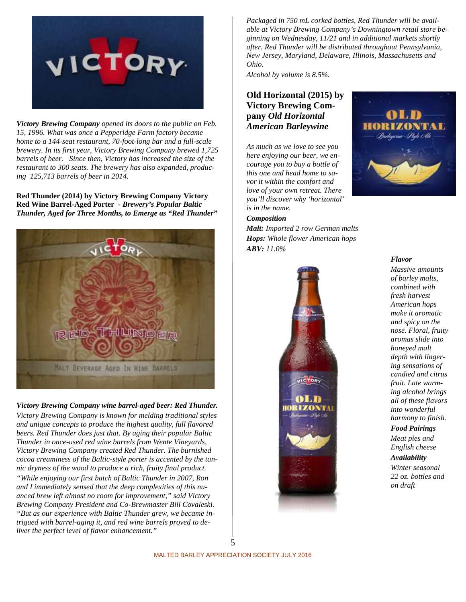

*Victory Brewing Company opened its doors to the public on Feb. 15, 1996. What was once a Pepperidge Farm factory became home to a 144-seat restaurant, 70-foot-long bar and a full-scale brewery. In its first year, Victory Brewing Company brewed 1,725 barrels of beer. Since then, Victory has increased the size of the restaurant to 300 seats. The brewery has also expanded, producing 125,713 barrels of beer in 2014.*

**Red Thunder (2014) by Victory Brewing Company Victory Red Wine Barrel-Aged Porter -***Brewery's Popular Baltic Thunder, Aged for Three Months, to Emerge as "Red Thunder"*



*Victory Brewing Company wine barrel-aged beer: Red Thunder. Victory Brewing Company is known for melding traditional styles and unique concepts to produce the highest quality, full flavored beers. Red Thunder does just that. By aging their popular Baltic Thunder in once-used red wine barrels from Wente Vineyards, Victory Brewing Company created Red Thunder. The burnished cocoa creaminess of the Baltic-style porter is accented by the tan nic dryness of the wood to produce a rich, fruity final product. "While enjoying our first batch of Baltic Thunder in 2007, Ron and I immediately sensed that the deep complexities of this nu anced brew left almost no room for improvement," said Victory Brewing Company President and Co-Brewmaster Bill Covaleski. "But as our experience with Baltic Thunder grew, we became intrigued with barrel-aging it, and red wine barrels proved to deliver the perfect level of flavor enhancement."*

*Packaged in 750 mL corked bottles, Red Thunder will be available at Victory Brewing Company's Downingtown retail store be ginning on Wednesday, 11/21 and in additional markets shortly after. Red Thunder will be distributed throughout Pennsylvania, New Jersey, Maryland, Delaware, Illinois, Massachusetts and Ohio.*

*Alcohol by volume is 8.5%.*

# **Old Horizontal (2015) by Victory Brewing Company** *Old Horizontal American Barleywine*

*As much as we love to see you here enjoying our beer, we en courage you to buy a bottle of this one and head home to sa vor it within the comfort and love of your own retreat. There you'll discover why 'horizontal' is in the name.*



#### *Composition*

*Malt: Imported 2 row German malts Hops: Whole flower American hops ABV: 11.0%*



*Flavor*

*Massive amounts of barley malts, combined with fresh harvest American hops make it aromatic and spicy on the nose. Floral, fruity aromas slide into honeyed malt depth with lingering sensations of candied and citrus fruit. Late warming alcohol brings all of these flavors into wonderful harmony to finish. Food Pairings Meat pies and English cheese Availability Winter seasonal 22 oz. bottles and*

*on draft*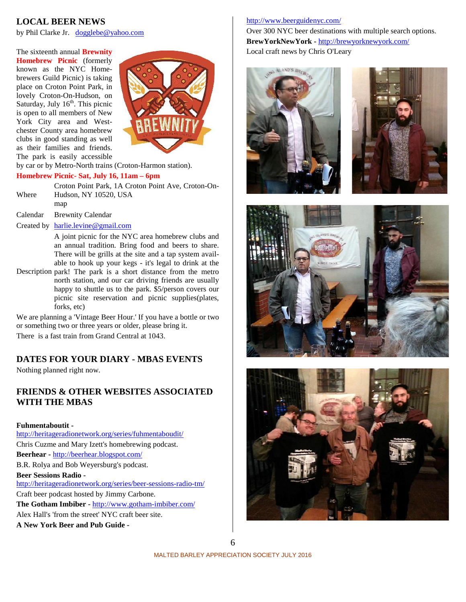# **LOCAL BEER NEWS**

by Phil Clarke Jr. dogglebe@yahoo.com

## The sixteenth annual **Brewnity**

**Homebrew Picnic** (formerly known as the NYC Homebrewers Guild Picnic) is taking place on Croton Point Park, in lovely Croton-On-Hudson, on Saturday, July 16<sup>th</sup>. This picnic is open to all members of New York City area and Westchester County area homebrew clubs in good standing as well as their families and friends. The park is easily accessible



by car or by Metro-North trains (Croton-Harmon station).

# **Homebrew Picnic- Sat, July 16, 11am – 6pm**

| Where | Croton Point Park, 1A Croton Point Ave, Croton-On- |  |
|-------|----------------------------------------------------|--|
|       | Hudson, NY 10520, USA                              |  |
|       | map                                                |  |

- Calendar Brewnity Calendar
- Created by harlie.levine@gmail.com

A joint picnic for the NYC area homebrew clubs and an annual tradition. Bring food and beers to share. There will be grills at the site and a tap system available to hook up your kegs - it's legal to drink at the

Description park! The park is a short distance from the metro north station, and our car driving friends are usually happy to shuttle us to the park. \$5/person covers our picnic site reservation and picnic supplies(plates, forks, etc)

We are planning a 'Vintage Beer Hour.' If you have a bottle or two or something two or three years or older, please bring it. There is a fast train from Grand Central at 1043.

# **DATES FOR YOUR DIARY - MBAS EVENTS**

Nothing planned right now.

# **FRIENDS & OTHER WEBSITES ASSOCIATED WITH THE MBAS**

#### **Fuhmentaboutit -**

http://heritageradionetwork.org/series/fuhmentaboudit/ Chris Cuzme and Mary Izett's homebrewing podcast. **Beerhear -** http://beerhear.blogspot.com/ B.R. Rolya and Bob Weyersburg's podcast. **Beer Sessions Radio**  http://heritageradionetwork.org/series/beer-sessions-radio-tm/ Craft beer podcast hosted by Jimmy Carbone. **The Gotham Imbiber -** http://www.gotham-imbiber.com/ Alex Hall's 'from the street' NYC craft beer site. **A New York Beer and Pub Guide -**

#### http://www.beerguidenyc.com/

Over 300 NYC beer destinations with multiple search options. **BrewYorkNewYork -** http://brewyorknewyork.com/ Local craft news by Chris O'Leary









MALTED BARLEY APPRECIATION SOCIETY JULY 2016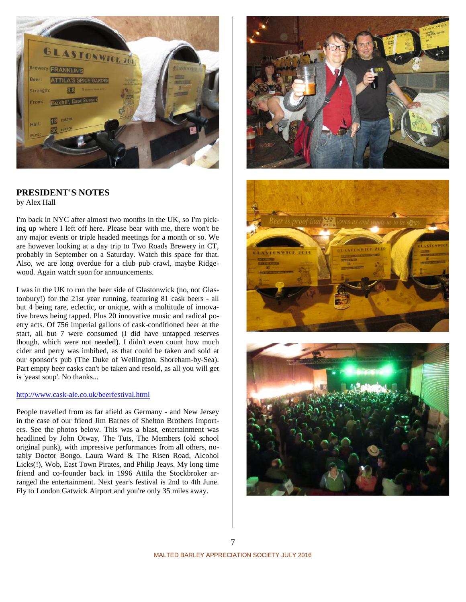

#### **PRESIDENT'S NOTES** by Alex Hall

I'm back in NYC after almost two months in the UK, so I'm picking up where I left off here. Please bear with me, there won't be any major events or triple headed meetings for a month or so. We are however looking at a day trip to Two Roads Brewery in CT, probably in September on a Saturday. Watch this space for that. Also, we are long overdue for a club pub crawl, maybe Ridge-

I was in the UK to run the beer side of Glastonwick (no, not Glastonbury!) for the 21st year running, featuring 81 cask beers - all but 4 being rare, eclectic, or unique, with a multitude of innovative brews being tapped. Plus 20 innovative music and radical poetry acts. Of 756 imperial gallons of cask-conditioned beer at the start, all but 7 were consumed (I did have untapped reserves though, which were not needed). I didn't even count how much cider and perry was imbibed, as that could be taken and sold at our sponsor's pub (The Duke of Wellington, Shoreham-by-Sea). Part empty beer casks can't be taken and resold, as all you will get is 'yeast soup'. No thanks...

#### http://www.cask-ale.co.uk/beerfestival.html

wood. Again watch soon for announcements.

People travelled from as far afield as Germany - and New Jersey in the case of our friend Jim Barnes of Shelton Brothers Importers. See the photos below. This was a blast, entertainment was headlined by John Otway, The Tuts, The Members (old school original punk), with impressive performances from all others, notably Doctor Bongo, Laura Ward & The Risen Road, Alcohol Licks(!), Wob, East Town Pirates, and Philip Jeays. My long time friend and co-founder back in 1996 Attila the Stockbroker arranged the entertainment. Next year's festival is 2nd to 4th June. Fly to London Gatwick Airport and you're only 35 miles away.